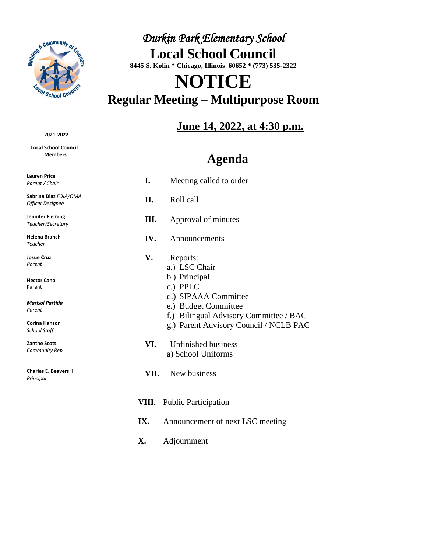

## *Durkin Park Elementary School*  **Local School Council 8445 S. Kolin \* Chicago, Illinois 60652 \* (773) 535-2322**

## **NOTICE Regular Meeting – Multipurpose Room**

## **June 14, 2022, at 4:30 p.m.**

## **Agenda**

- **I.** Meeting called to order
- **II.** Roll call
- **III.** Approval of minutes
- **IV.** Announcements
- **V.** Reports:
	- a.) LSC Chair
	- b.) Principal
	- c.) PPLC
	- d.) SIPAAA Committee
	- e.) Budget Committee
	- f.) Bilingual Advisory Committee / BAC
	- g.) Parent Advisory Council / NCLB PAC
- **VI.** Unfinished business a) School Uniforms
- **VII.** New business
- **VIII.** Public Participation
- **IX.** Announcement of next LSC meeting
- **X.** Adjournment

#### **2021-2022**

**Local School Council Members** 

**Lauren Price** *Parent / Chair*

**Sabrina Diaz** *FOIA/OMA Officer Designee*

**Jennifer Fleming** *Teacher/Secretary*

**Helena Branch**  *Teacher*

**Josue Cruz**  *Parent*

**Hector Cano** Parent

*Marisol Partida Parent*

**Corina Hanson** *School Staff*

**Zanthe Scott**  *Community Rep.*

**Charles E. Beavers II** *Principal*